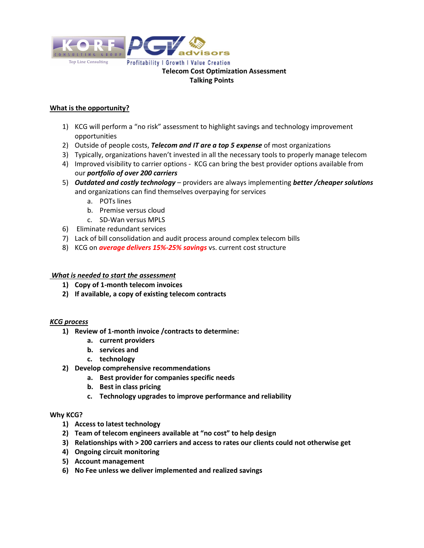

# What is the opportunity?

- 1) KCG will perform a "no risk" assessment to highlight savings and technology improvement opportunities
- 2) Outside of people costs, Telecom and IT are a top 5 expense of most organizations
- 3) Typically, organizations haven't invested in all the necessary tools to properly manage telecom
- 4) Improved visibility to carrier options KCG can bring the best provider options available from our portfolio of over 200 carriers
- 5) Outdated and costly technology providers are always implementing better / cheaper solutions and organizations can find themselves overpaying for services
	- a. POTs lines
	- b. Premise versus cloud
	- c. SD-Wan versus MPLS
- 6) Eliminate redundant services
- 7) Lack of bill consolidation and audit process around complex telecom bills
- 8) KCG on **average delivers 15%-25% savings** vs. current cost structure

## What is needed to start the assessment

- 1) Copy of 1-month telecom invoices
- 2) If available, a copy of existing telecom contracts

### KCG process

- 1) Review of 1-month invoice /contracts to determine:
	- a. current providers
	- b. services and
	- c. technology
- 2) Develop comprehensive recommendations
	- a. Best provider for companies specific needs
	- b. Best in class pricing
	- c. Technology upgrades to improve performance and reliability

### Why KCG?

- 1) Access to latest technology
- 2) Team of telecom engineers available at "no cost" to help design
- 3) Relationships with > 200 carriers and access to rates our clients could not otherwise get
- 4) Ongoing circuit monitoring
- 5) Account management
- 6) No Fee unless we deliver implemented and realized savings